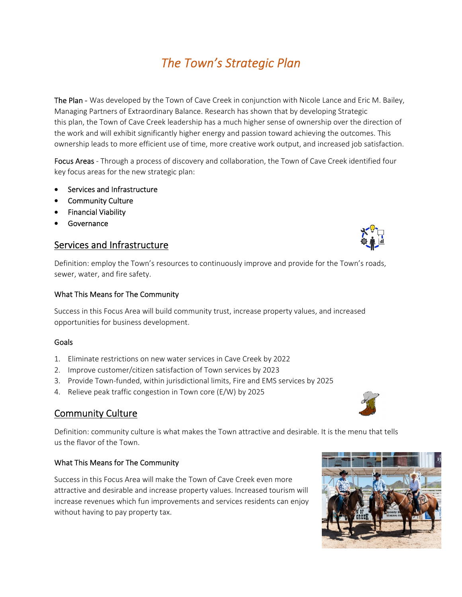# *The Town's Strategic Plan*

The Plan - Was developed by the Town of Cave Creek in conjunction with Nicole Lance and Eric M. Bailey, Managing Partners of Extraordinary Balance. Research has shown that by developing Strategic Plan this plan, the Town of Cave Creek leadership has a much higher sense of ownership over the direction of the work and will exhibit significantly higher energy and passion toward achieving the outcomes. This ownership leads to more efficient use of time, more creative work output, and increased job satisfaction.

Focus Areas - Through a process of discovery and collaboration, the Town of Cave Creek identified four key focus areas for the new strategic plan:

- Services and Infrastructure
- Community Culture
- **•** Financial Viability
- Governance

## Services and Infrastructure

Definition: employ the Town's resources to continuously improve and provide for the Town's roads, sewer, water, and fire safety.

### What This Means for The Community

Success in this Focus Area will build community trust, increase property values, and increased opportunities for business development.

### Goals

- 1. Eliminate restrictions on new water services in Cave Creek by 2022
- 2. Improve customer/citizen satisfaction of Town services by 2023
- 3. Provide Town‐funded, within jurisdictional limits, Fire and EMS services by 2025
- 4. Relieve peak traffic congestion in Town core (E/W) by 2025

# Community Culture

Definition: community culture is what makes the Town attractive and desirable. It is the menu that tells us the flavor of the Town.

### What This Means for The Community

Success in this Focus Area will make the Town of Cave Creek even more attractive and desirable and increase property values. Increased tourism will increase revenues which fun improvements and services residents can enjoy without having to pay property tax.